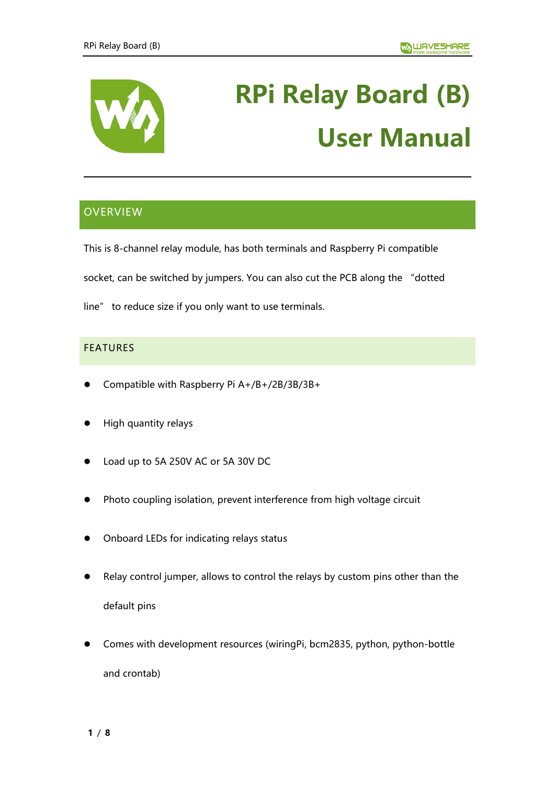

# **RPi Relay Board (B) User Manual**

# **OVERVIEW**

This is 8-channel relay module, has both terminals and Raspberry Pi compatible

socket, can be switched by jumpers. You can also cut the PCB along the "dotted

line" to reduce size if you only want to use terminals.

## FEATURES

- ⚫ Compatible with Raspberry Pi A+/B+/2B/3B/3B+
- ⚫ High quantity relays
- ⚫ Load up to 5A 250V AC or 5A 30V DC
- Photo coupling isolation, prevent interference from high voltage circuit
- ⚫ Onboard LEDs for indicating relays status
- Relay control jumper, allows to control the relays by custom pins other than the default pins
- ⚫ Comes with development resources (wiringPi, bcm2835, python, python-bottle and crontab)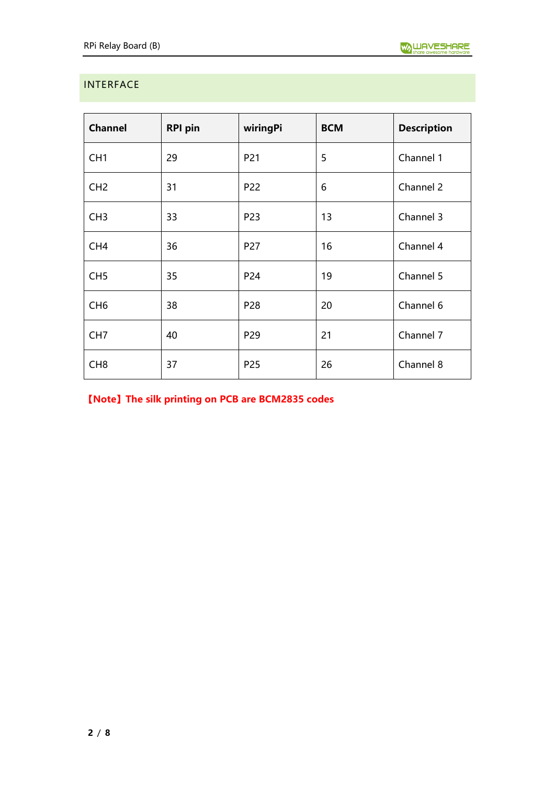# <span id="page-1-0"></span>INTERFACE

| <b>Channel</b>  | <b>RPI pin</b> | wiringPi        | <b>BCM</b> | <b>Description</b> |
|-----------------|----------------|-----------------|------------|--------------------|
| CH <sub>1</sub> | 29             | P21             | 5          | Channel 1          |
| CH <sub>2</sub> | 31             | P22             | 6          | Channel 2          |
| CH <sub>3</sub> | 33             | P23             | 13         | Channel 3          |
| CH <sub>4</sub> | 36             | P27             | 16         | Channel 4          |
| CH <sub>5</sub> | 35             | P24             | 19         | Channel 5          |
| CH <sub>6</sub> | 38             | P <sub>28</sub> | 20         | Channel 6          |
| CH <sub>7</sub> | 40             | P <sub>29</sub> | 21         | Channel 7          |
| CH <sub>8</sub> | 37             | P <sub>25</sub> | 26         | Channel 8          |

**【Note】The silk printing on PCB are BCM2835 codes**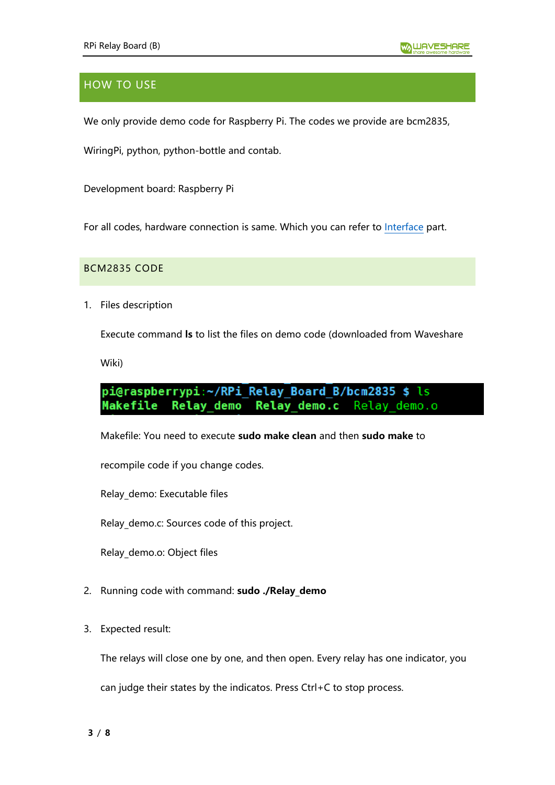# HOW TO USE

We only provide demo code for Raspberry Pi. The codes we provide are bcm2835,

WiringPi, python, python-bottle and contab.

Development board: Raspberry Pi

For all codes, hardware connection is same. Which you can refer to [Interface](#page-1-0) part.

BCM2835 CODE

1. Files description

Execute command **ls** to list the files on demo code (downloaded from Waveshare

Wiki)

#### pi@raspberrypi:~/RPi Relay Board B/bcm2835 \$ ls **Relay demo** Relay demo.c Relay demo.o Makefile

Makefile: You need to execute **sudo make clean** and then **sudo make** to

recompile code if you change codes.

Relay\_demo: Executable files

Relay\_demo.c: Sources code of this project.

Relay\_demo.o: Object files

- 2. Running code with command: **sudo ./Relay\_demo**
- 3. Expected result:

The relays will close one by one, and then open. Every relay has one indicator, you

can judge their states by the indicatos. Press Ctrl+C to stop process.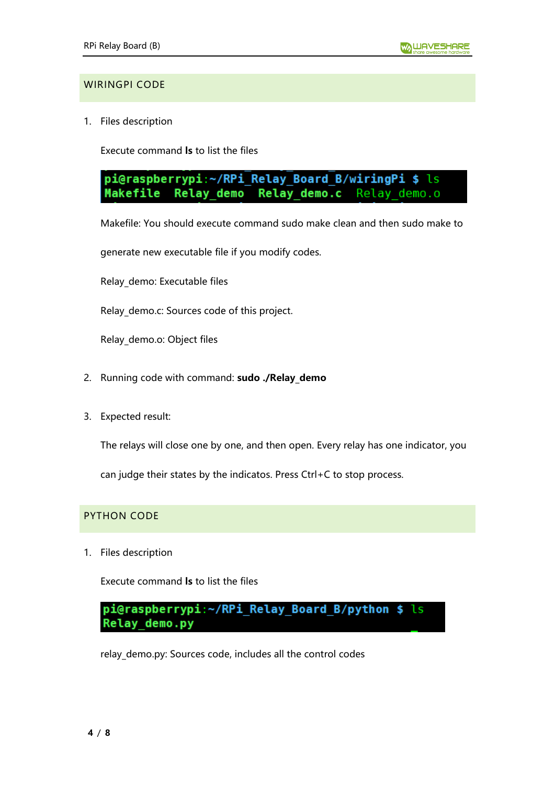#### WIRINGPI CODE

1. Files description

Execute command **ls** to list the files

pi@raspberrypi:~/RPi Relay Board B/wiringPi \$ ls Makefile **Relay demo** Relay demo.c Relay demo.o

Makefile: You should execute command sudo make clean and then sudo make to

generate new executable file if you modify codes.

Relay\_demo: Executable files

Relay demo.c: Sources code of this project.

Relay\_demo.o: Object files

- 2. Running code with command: **sudo ./Relay\_demo**
- 3. Expected result:

The relays will close one by one, and then open. Every relay has one indicator, you

can judge their states by the indicatos. Press Ctrl+C to stop process.

#### PYTHON CODE

1. Files description

Execute command **ls** to list the files

pi@raspberrypi:~/RPi Relay Board B/python \$ ls Relay\_demo.py

relay\_demo.py: Sources code, includes all the control codes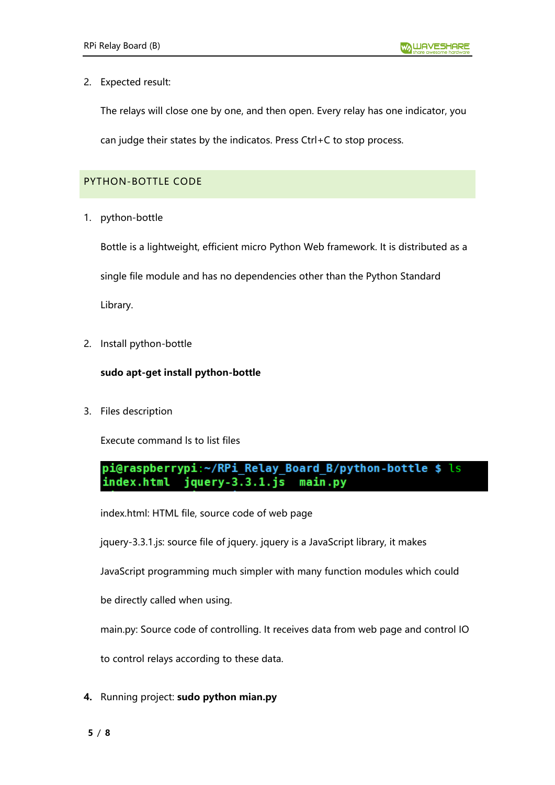#### 2. Expected result:

The relays will close one by one, and then open. Every relay has one indicator, you

can judge their states by the indicatos. Press Ctrl+C to stop process.

### PYTHON-BOTTLE CODE

1. python-bottle

Bottle is a lightweight, efficient micro Python Web framework. It is distributed as a single file module and has no dependencies other than the Python Standard Library.

2. Install python-bottle

#### **sudo apt-get install python-bottle**

3. Files description

Execute command ls to list files

pi@raspberrypi:~/RPi Relay Board B/python-bottle \$ ls jquery-3.3.1.js index.html main.py

index.html: HTML file, source code of web page

jquery-3.3.1.js: source file of jquery. jquery is a JavaScript library, it makes

JavaScript programming much simpler with many function modules which could

be directly called when using.

main.py: Source code of controlling. It receives data from web page and control IO

to control relays according to these data.

**4.** Running project: **sudo python mian.py**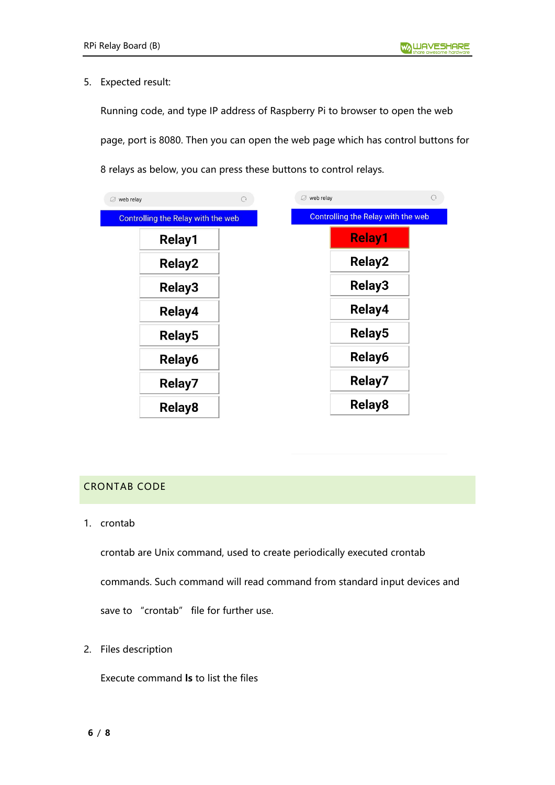#### 5. Expected result:

Running code, and type IP address of Raspberry Pi to browser to open the web page, port is 8080. Then you can open the web page which has control buttons for 8 relays as below, you can press these buttons to control relays.

| Ø web relay |                                           | O | web relay<br>Ø                     |  |
|-------------|-------------------------------------------|---|------------------------------------|--|
|             | <b>Controlling the Relay with the web</b> |   | Controlling the Relay with the web |  |
|             | Relay1                                    |   | <b>Relay1</b>                      |  |
|             | <b>Relay2</b>                             |   | <b>Relay2</b>                      |  |
|             | <b>Relay3</b>                             |   | <b>Relay3</b>                      |  |
|             | Relay4                                    |   | Relay4                             |  |
|             | <b>Relay5</b>                             |   | Relay <sub>5</sub>                 |  |
|             | Relay6                                    |   | Relay6                             |  |
|             | Relay7                                    |   | Relay7                             |  |
|             | Relay <sub>8</sub>                        |   | <b>Relay8</b>                      |  |

### CRONTAB CODE

1. crontab

crontab are Unix command, used to create periodically executed crontab

commands. Such command will read command from standard input devices and

save to "crontab" file for further use.

2. Files description

Execute command **ls** to list the files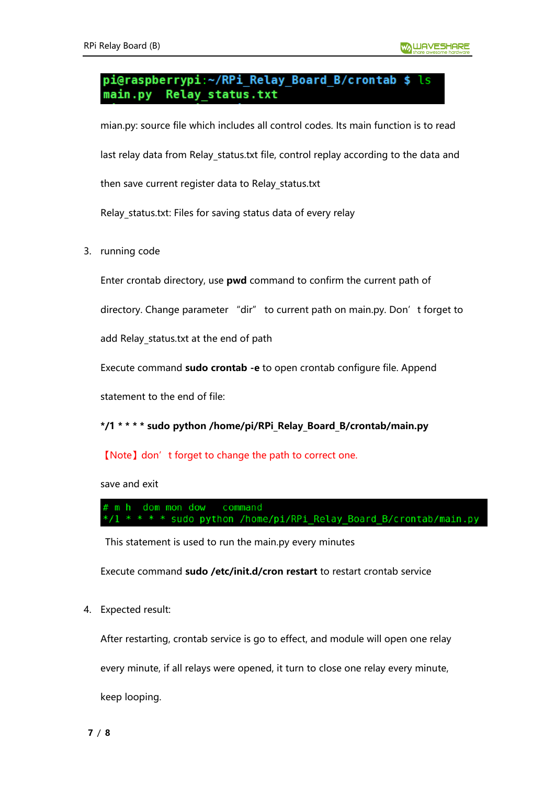#### pi@raspberrypi:~/RPi Relay Board B/crontab \$ main.pv Relay\_status.txt

mian.py: source file which includes all control codes. Its main function is to read last relay data from Relay status.txt file, control replay according to the data and

then save current register data to Relay\_status.txt

Relay\_status.txt: Files for saving status data of every relay

3. running code

Enter crontab directory, use **pwd** command to confirm the current path of

directory. Change parameter "dir" to current path on main.py. Don't forget to

add Relay status.txt at the end of path

Execute command **sudo crontab -e** to open crontab configure file. Append

statement to the end of file:

#### **\*/1 \* \* \* \* sudo python /home/pi/RPi\_Relay\_Board\_B/crontab/main.py**

#### 【Note】don't forget to change the path to correct one.

save and exit

m h dom mon dow command \* \* \* \* sudo python /home/pi/RPi Relay Board B/crontab/main.py

This statement is used to run the main.py every minutes

Execute command **sudo /etc/init.d/cron restart** to restart crontab service

4. Expected result:

After restarting, crontab service is go to effect, and module will open one relay

every minute, if all relays were opened, it turn to close one relay every minute,

keep looping.